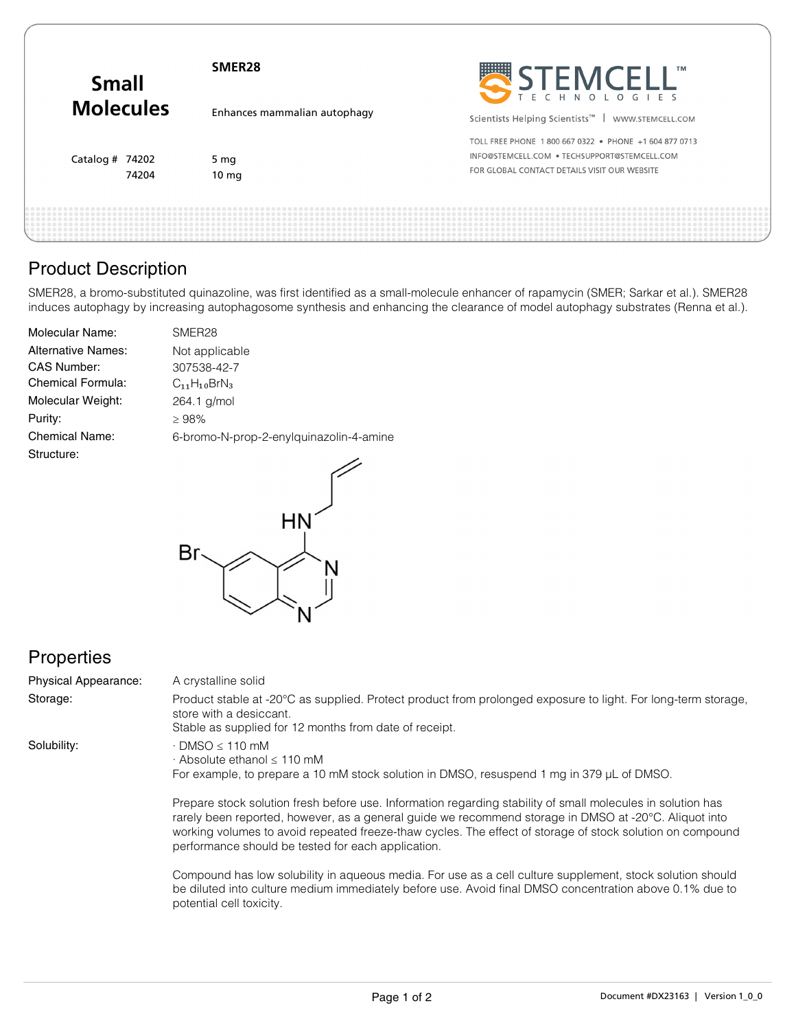| <b>Small</b><br><b>Molecules</b> | SMER <sub>28</sub>           | STEMCELL"                                                                                                                                             |
|----------------------------------|------------------------------|-------------------------------------------------------------------------------------------------------------------------------------------------------|
|                                  | Enhances mammalian autophagy | Scientists Helping Scientists <sup>™</sup>   WWW.STEMCELL.COM                                                                                         |
| Catalog # 74202<br>74204         | 5 mg<br>10 <sub>mg</sub>     | TOLL FREE PHONE 1800 667 0322 . PHONE +1 604 877 0713<br>INFO@STEMCELL.COM . TECHSUPPORT@STEMCELL.COM<br>FOR GLOBAL CONTACT DETAILS VISIT OUR WEBSITE |
|                                  |                              |                                                                                                                                                       |

# Product Description

SMER28, a bromo-substituted quinazoline, was first identified as a small-molecule enhancer of rapamycin (SMER; Sarkar et al.). SMER28 induces autophagy by increasing autophagosome synthesis and enhancing the clearance of model autophagy substrates (Renna et al.).

| <b>Molecular Name:</b>    | SMER <sub>28</sub>                      |
|---------------------------|-----------------------------------------|
| <b>Alternative Names:</b> | Not applicable                          |
| <b>CAS Number:</b>        | 307538-42-7                             |
| <b>Chemical Formula:</b>  | $C_{11}H_{10}BrN_3$                     |
| Molecular Weight:         | 264.1 g/mol                             |
| Purity:                   | >98%                                    |
| <b>Chemical Name:</b>     | 6-bromo-N-prop-2-enylquinazolin-4-amine |
| Structure:                |                                         |
|                           |                                         |



## **Properties**

| Physical Appearance: | A crystalline solid                                                                                                                                                                                                                                                                                                                                                                     |
|----------------------|-----------------------------------------------------------------------------------------------------------------------------------------------------------------------------------------------------------------------------------------------------------------------------------------------------------------------------------------------------------------------------------------|
| Storage:             | Product stable at -20°C as supplied. Protect product from prolonged exposure to light. For long-term storage,<br>store with a desiccant.<br>Stable as supplied for 12 months from date of receipt.                                                                                                                                                                                      |
| Solubility:          | $\cdot$ DMSO $\leq$ 110 mM<br>$\cdot$ Absolute ethanol $\leq$ 110 mM<br>For example, to prepare a 10 mM stock solution in DMSO, resuspend 1 mg in 379 µL of DMSO.                                                                                                                                                                                                                       |
|                      | Prepare stock solution fresh before use. Information regarding stability of small molecules in solution has<br>rarely been reported, however, as a general quide we recommend storage in DMSO at -20°C. Aliquot into<br>working volumes to avoid repeated freeze-thaw cycles. The effect of storage of stock solution on compound<br>performance should be tested for each application. |
|                      | Compound has low solubility in aqueous media. For use as a cell culture supplement, stock solution should<br>be diluted into culture medium immediately before use. Avoid final DMSO concentration above 0.1% due to                                                                                                                                                                    |

potential cell toxicity.